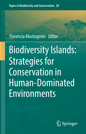**Topics in Biodiversity and Conservation 20**

# Florencia Montagnini *Editor*

# Biodiversity Islands: Strategies for Conservation in Human-Dominated Environments

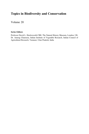## Topics in Biodiversity and Conservation

Volume 20

#### Series Editors

Professor David L. Hawksworth CBE, The Natural History Museum, London, UK Dr. Anurag Chaurasia, Indian Institute of Vegetable Research, Indian Council of Agricultural Research, Varanasi, Uttar Pradesh, India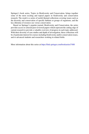Springer's book series, Topics in Biodiversity and Conservation, brings together some of the most exciting and topical papers in biodiversity and conservation research. The result is a series of useful themed collections covering issues such as the diversity and conservation of specific habitats or groups of organisms, and the key dilemma of resource use versus conservation.

Based on Springer's popular journal, Biodiversity and Conservation, the series provides access to selected peer-reviewed papers which represent the cutting edge of current research to provide a valuable overview of progress in each topic addressed. With their diversity of case studies and depth of investigation, these collections will be of particular interest for courses including biodiversity and/or conservation issues, and to advanced students and researchers working in related fields.

More information about this series at <https://link.springer.com/bookseries/7488>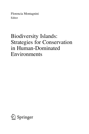Florencia Montagnini Editor

## Biodiversity Islands: Strategies for Conservation in Human-Dominated Environments

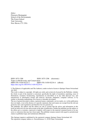**Editor** Florencia Montagnini School of the Environment, The Forest School Yale University New Haven, CT, USA

ISSN 1875-1288 ISSN 1875-1296 (electronic) Topics in Biodiversity and Conservation<br>
ISBN 978-3-030-92233-7 ISBN ISBN 978-3-030-92233-7 ISBN 978-3-030-92234-4 (eBook) <https://doi.org/10.1007/978-3-030-92234-4>

© The Editor(s) (if applicable) and The Author(s), under exclusive license to Springer Nature Switzerland AG 2022

This work is subject to copyright. All rights are solely and exclusively licensed by the Publisher, whether the whole or part of the material is concerned, specifically the rights of translation, reprinting, reuse of illustrations, recitation, broadcasting, reproduction on microfilms or in any other physical way, and transmission or information storage and retrieval, electronic adaptation, computer software, or by similar or dissimilar methodology now known or hereafter developed.

The use of general descriptive names, registered names, trademarks, service marks, etc. in this publication does not imply, even in the absence of a specific statement, that such names are exempt from the relevant protective laws and regulations and therefore free for general use.

The publisher, the authors and the editors are safe to assume that the advice and information in this book are believed to be true and accurate at the date of publication. Neither the publisher nor the authors or the editors give a warranty, expressed or implied, with respect to the material contained herein or for any errors or omissions that may have been made. The publisher remains neutral with regard to jurisdictional claims in published maps and institutional affiliations.

This Springer imprint is published by the registered company Springer Nature Switzerland AG The registered company address is: Gewerbestrasse 11, 6330 Cham, Switzerland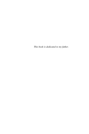This book is dedicated to my father.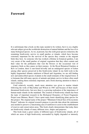#### Foreword

It is unfortunate that a book on this topic needed to be written, but it is on a highly relevant subject given the worldwide destruction of natural habitats and the loss of so many biological species. As we, at present, face the sixth great species extinction, the remaining biodiversity survive in small patches or islands, which have become extremely important for the survival of the species they contain or the migrant birds they host. As someone who has worked a lifetime in botanical gardens, I am very aware of the small patches of original vegetation that they often contain and their value for the pollinators that visit the flowers or the occasional visit of migratory birds as they pause on their journey. At the Royal Botanical Gardens at Kew in London, there is rare-listed hoverfly and an endangered species of lichen among other species preserved in this biodiversity island. In my field work in the highly fragmented Atlantic rainforest of Brazil and Argentina, we are still finding new and undescribed species of plants in the small remnants of the original forest. It is fortunate that still many species of animals and plants survive in these often small islands, making them extremely important, and a book drawing attention to them is most welcome.

Until relatively recently, much more attention was given to marine islands following the work of MacArthur and Wilson in 1967 and because of their muchthreatened biodiversity, but now there is a growing realisation of the importance of human-made islands on the mainland. The creation of biodiversity islands has been the topic of important research in the Biological Dynamics of Forest Fragments Project near Manaus, Brazil. I have spent many hours identifying plant species for this project. The original name of the project "Minimum Critical Size of Ecosystems Project" indicates its original research purpose to provide data about the minimum area needed to preserve a functioning area of rainforest to assist in the establishment of reserves and conservation areas. This book clearly demonstrates that today there are biodiversity islands of many different sizes, shapes and purposes.

This book treats a great variety of different types of biodiversity islands, all of which are areas of high biodiversity surrounded by highly degraded or intensely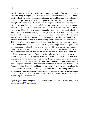used landscapes that act as refuges for the surviving species of the original ecosystem. The many examples given here clearly show the critical importance of biodiversity islands for conservation, restoration and sustainable management of several productive agroforestry systems. It is good to be taken around the world with examples of biodiversity islands in both the tropical and the temperate regions. I like the fact that these examples include not only areas of pristine natural habitats such as the Monteverde Cloud Forest in Costa Rica or the forest islands in the Paraguayan Chaco but also several examples from highly managed islands in agroforestry and regenerative agriculture systems. Some of the examples of the policies and political motivations given in various chapters should be helpful to anyone involved in the creation or management of a biodiversity island. Several chapters here show examples of harmonising food production with conservation. This unity of purpose is important and is far more likely to be of long-term success than placing conservation and agriculture in separate camps. Several chapters show the importance of alternative ways to produce food from more integrated management systems that also preserve biodiversity. The social, ecological, ethical and economic benefits of such systems are clearly outlined in several of the chapters.

I congratulate the editor of this book for gathering together such a varied and useful compilation of the ongoing work on biodiversity islands. This will be of considerable use to people involved in the design of future biodiversity islands because it has much to say about the motivations and politics and also about their size and spatial distribution whether from fragments of the original vegetation or from restoration of degraded and intensely used areas. It will be a most useful tool for both conservation and restoration. My hope is that this will be used by conservation organisations, local communities and indigenous peoples to create effective islands of biodiversity in many different ecosystems of the world and for many more creative types of management.

e‐mail: [siriain01@yahoo.co.uk](mailto:ForewordLyme Regis, United KingdomProfessor SirGhilleanT.Prance FRS, VMHsiriain01@yahoo.co.ukIt is unfortunate that a book on this topic needed to be written, but it is on a highly relevant subject given the worldwide destruction of natural habitats and the loss of so many biological species. As we, at present, face the sixth great species extinction, the remaining biodiversity survive in small patches or islands, which have become extremely important for the survival of the species they contain or the migrant birds they host. As someone who has worked a lifetime in botanical gardens, I am very aware of the small patches of original vegetation that they often contain and their value for the pollinators that visit the flowers or the occasional visit of migratory birds as they pause on their journey. At the Royal Botanical Gardens at Kew in London, there is rare-listed hoverfly and an endangered species of lichen among other species preserved in this biodiversity island. In my field work in the highly fragmented Atlantic rainforest of Brazil and Argentina, we are still finding new and undescribed species of plants in the small remnants of the original forest. It is fortunate that still many species of animals and plants survive in these often small islands, making them extremely important, and a book drawing attention to them is most welcome.Until relatively recently, much more attention was given to marine islands following the work of MacArthur and Wilson in 1967 and because of their much-threatened biodiversity, but now there is a growing realisation of the importance of human-made islands on the mainland. The creation of biodiversity islands has been the topic of important research in the Biological Dynamics of Forest Fragments Project near Manaus, Brazil. I have spent many hours identifying plant species for this project. The original name of the project “Minimum Critical Size of Ecosystems Project” indicates its original research purpose to provide data about the minimum area needed to preserve a functioning area of rainforest to assist in the establishment of reserves and conservation areas. This book clearly demonstrates that today there are biodiversity islands of many different sizes, shapes and purposes.This book treats a great variety of different types of biodiversity islands, all of which are areas of high biodiversity surrounded by highly degraded or intensely used landscapes that act as refuges for the surviving species of the original ecosystem. The many examples given here clearly show the critical importance of biodiversity islands for conservation, restoration and sustainable management of several productive agroforestry systems. It is good to be taken around the world with examples of biodiversity islands in both the tropical and the temperate regions. I like the fact that these examples include not only areas of pristine natural habitats such as the Monteverde Cloud Forest in Costa Rica or the forest islands in the Paraguayan Chaco but also several examples from highly managed islands in agroforestry and regenerative agriculture systems. Some of the examples of the policies and political motivations given in various chapters should be helpful to anyone involved in the creation or management of a biodiversity island. Several chapters here show examples of harmonising food production with conservation. This unity of purpose is important and is far more likely to be of long-term success than placing conservation and agriculture in separate camps. Several chapters show the importance of alternative ways to produce food from more integrated management systems that also preserve biodiversity. The social, ecological, ethical and economic benefits of such systems are clearly outlined in several of the chapters.I congratulate the editor of this book for gathering together such a varied and useful compilation of the ongoing work on biodiversity islands. This will be of considerable use to people involved in the design of future biodiversity islands because it has much to say about the motivations and politics and also about their size and spatial distribution whether from fragments of the original vegetation or from restoration of degraded and intensely used areas. It will be a most useful tool for both conservation and restoration. My hope is that this will be used by conservation organisations, local communities and indigenous peoples to create effective islands of biodiversity in many different ecosystems of the world and for many more creative types of management.)

Lyme Regis, United Kingdom Professor Sir Ghillean T. Prance FRS, VMH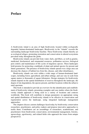#### Preface

A biodiversity island is an area of high biodiversity located within ecologically degraded, human-dominated landscapes. Biodiversity in the "islands" exceeds the surrounding landscape biodiversity baseline. These biodiversity islands thereby act as ecological refuges, promoting restoration and conservation in altered ecosystems prevalent today throughout the globe.

Biodiversity islands can provide food, water, fuels, and fibers, as well as genetic, medicinal, biochemical, and ornamental resources, pollination services, biological pest control, and maintenance of life cycles of migratory species. These landscapes hold promise for protecting a multitude of plant and animal species for present and future generations. The presence of biodiversity islands spread over a large area can decrease the chances of habitat loss from fire, disease, and other disturbances.

Biodiversity islands can exist within a wide range of human-dominated landscapes, including forest, agricultural, and urban settings, and can vary in scale from square meters to thousands of square kilometers. Design strategies for biodiversity islands depend on the spatial distribution of reserves throughout the landscape, the degree of site degradation, the species present, and their locations within the urban to rural spectrum.

This book is intended to provide an overview for the identification and establishment of biodiversity islands, presenting examples and case studies where the biodiversity islands approach is being used in a variety of locations and contexts worldwide. This book will contribute to design parameters on appropriate sizing and spatial distribution of biodiversity islands to be effective in conservation and regeneration across the landscape, using integrated landscape management approaches.

The chapters discuss current challenges faced today by biodiversity conservation researchers, practitioners, and policy makers and propose innovative approaches to tackle them. Contributors are an assemblage of researchers, academicians, and practitioners from biodiversity conservation, environmental management, forestry, agroecology, agroforestry, and related fields who approach the issues from unique perspectives.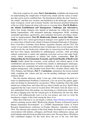This book comprises five parts: Part I, Introduction, establishes the framework for understanding the complexities of biodiversity islands and the variety of strategies that can be used to establish them. The Introduction defines the term "biodiversity islands" and their size, location, and distribution in the landscape; stresses their many ecological, social, and economic benefits; and discusses potential limitations of the use of this framework along with ways to overcome them. Part  $II$ , Biodiversity Islands Establishment and Management: Challenges and Alternatives, shows how design strategies may depend on landscape use within the matrix of habitat fragmentation, with integrated landscape management (ILM), including sustainable agriculture, agroforestry, and community-led action, providing a framework for implementation. Part III, Biodiversity Islands Across the Globe: Case Studies, shows how varied agroecological strategies were applied in the formation or conservation of biodiversity islands in human-dominated landscapes in Paraguay, Peru, Costa Rica, Colombia, Great Britain, Argentina, Panama, and the USA. The variety of case studies from different types of landscapes from several regions of the world reveals the role biodiversity islands play in conserving local flora and fauna that have been largely diminished by anthropogenic activities, while providing cultural connections to nature and supplying ecosystem services that make biodiversity islands advantageous to farmers and nearby communities. Part IV, Safeguarding the Environmental, Economic, and Social Benefits of Biodiversity Islands, further details the economic, social, political, and cultural aspects of the establishment and persistence of biodiversity islands in anthropogenic landscapes, emphasizing how community-led action contributes to their development and subsequent management, with examples from Puerto Rico, Ecuador, Brazil, India, the USA, Panama, and Ethiopia. Part V, Conclusions, summarizes the lessons learned while compiling this volume and lays out the pending challenges and potential solutions ahead.

One late summer afternoon, about 2 years ago, while relaxing in the porch of a house in suburban/rural Northford, Connecticut, a fox ran across the garden, apparently not feeling too threatened by our presence. When wondering where this small animal was coming from, and where did it go when it finally ran away, Kjell E Berg suggested that the water reservoir located about 100 meters from the house was a nice undisturbed forest that perhaps was functioning as a biodiversity island. Soon the idea of digging more into the concept grew in all directions; the next day, Brett Levin at Yale enthusiastically took it as his own project, and soon we wrote the introductory chapter of this book among the three of us.

Other ideas followed as we developed a website: <https://biodiversityislands.org/> and led a meeting session called "Biodiversity Islands: Pockets of Protected Land in Human Dominated Environments" at a IUFRO (International Union of Forest Research Organizations) conference in Posadas, Misiones, Argentina, in October 2018. The structure and contents of this book further developed as we met and held conversations with students, colleagues, and friends whose enthusiasm, energy, and joyful attitude made this book possible from start to end. The more than a 100 authors who contributed chapters for this book drove the rest of the way with their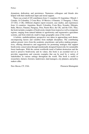dynamism, dedication, and persistence. Numerous colleagues and friends also helped with their intellectual input and moral support.

There was a total of 105 contributors from 11 countries (32 Argentina; 2 Brazil; 1 Canada; 14 Colombia; 2 Costa Rica; 10 Mexico; 4 Panama; 11 Paraguay; 3 Peru; 23 USA; 2 UK). Different chapters report research, case studies, and experiences from 14 countries: Argentina, Brazil, Colombia, Costa Rica, Ecuador, Ethiopia, India, Mexico, Panama, Paraguay, Peru, Puerto Rico, the UK, and the USA. Thus, the book includes examples of biodiversity islands from tropical as well as temperate regions, ranging from natural habitats to agroforestry and regenerative agriculture systems, and from relatively small to large geographic areas of the world.

A holistic, multidisciplinary perspective was taken in approaching each theme, encompassing factors and variables from multiple disciplines. The contributing authors present views from the academic, practitioner, and policy-making perspectives, offering alternatives and suggestions for promoting strategies that support biodiversity conservation through intentionally designed frameworks for sustainable forest landscapes. With the current worldwide trend of habitat destruction and the need to preserve biodiversity and its values, this book is an essential tool as it provides suggestions and concrete examples that can be used by a variety of stakeholders in various settings throughout the world. This book is useful to researchers, farmers, foresters, landowners, land managers, city planners, and policy makers alike.

New Haven, CT, USA Florencia Montagnini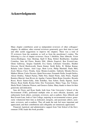#### Acknowledgments

Many chapter contributors acted as independent reviewers of other colleagues' chapters. In addition, other external reviewers generously gave their time to read and offer useful suggestions to improve the chapters. There was a total of 55 reviewers from the academic as well as from the practitioner's realms. The following is a list of chapter reviewers: Oscar J Abelleira, Dara Albrecht, Victor Arroyo-Rodriguez, Gary Bentrup, Kjell E Berg, Robert Bushbacher, Jonathan Cornelius, Sara del Fierro, Beatriz Eibl, Alberto Esquivel, Ben Everett-Lane, Glenn Galloway, Sergius Gandolfi, Eva Garen, Libertario González, Heather Griscom, David Hawksworth, Karen Kainer, Keith Kirby, B. Mohan Kumar, Rafaela Laino Guanes, Ariel Lugo, Brett Levin, Philip Marshall, Paula Meli, Zoyla Mireya Clavo Peralta, Irene Montes-Londoño, Gabriela Morales-Nieves, Mathew Moran, Carlos Navarro, Quint Newcomer, Fernando Niella, Joseph Orefice, Alison Ormbsy, Nahuel Pachas, Pablo Peri, Daniel Piotto, Julio Prieto, Neptali Ramírez-Marcial, Juan Rivero de Aguilar, Carmen María Rojas González, Ricardo Rozzi, Rocío Santos-Gally, John Schelhas, Sara Scherr, Emily Sigman, Jacob Slusser, Ryan Smith, Rosina Soler, Eric Toensmeier, Mateo Vega, Zoe Volenec, Sheila Ward, Catherine Watson, and Gustavo Zuleta. Many thanks to them for their generosity and dedication.

Sara del Fierro and Ryan Smith, both from Yale University's School of the Environment (YSE), performed multiple roles as most efficient, dynamic, and enthusiastic book editors, assistants, reviewers, and co-authors. Dara Albrecht and Ben Everett-Lane, both at Yale College, majoring in environmental science, generously volunteered their time as dedicated, energetic, and passionate editors, assistants, reviewers, and co-authors. They all made the task feel more important and appreciated, and their contributions and collegiality are immensely appreciated.

Financial, logistical, and administrative support from Yale School of the Environment (YSE) made this book possible.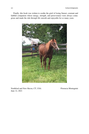Finally, this book was written to soothe the grief of losing Sunset, constant and faithful companion whose energy, strength, and perseverance were always contagious and made the ride through life smooth and enjoyable for so many years.



June 12, 2021 Northford and New Haven, CT, USA Florencia Montagnini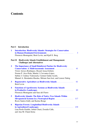### **Contents**

#### Part I Introduction

| $\mathbf{1}$         | <b>Introduction. Biodiversity Islands: Strategies for Conservation</b><br>in Human-Dominated Environments<br>Florencia Montagnini, Brett Levin, and Kjell E. Berg                                                                                                                     | 3   |
|----------------------|---------------------------------------------------------------------------------------------------------------------------------------------------------------------------------------------------------------------------------------------------------------------------------------|-----|
|                      | <b>Biodiversity Islands Establishment and Management:</b><br>Part II<br><b>Challenges and Alternatives</b>                                                                                                                                                                            |     |
| $\overline{2}$       | The Importance of Small Rainforest Patches for Biodiversity<br>Víctor Arroyo-Rodríguez, Ricard Arasa-Gisbert,<br>Norma P. Arce-Peña, Martín J. Cervantes-López,<br>Sabine J. Cudney-Valenzuela, Carmen Galán-Acedo,<br>Manuel A. Hernández-Ruedas, Miriam San-José, and Lenore Fahrig | 41  |
| $\mathbf{3}$         | <b>Regenerative Agriculture as Biodiversity Islands</b><br><b>Brett Levin</b>                                                                                                                                                                                                         | 61  |
| $\blacktriangleleft$ | <b>Functions of Agroforestry Systems as Biodiversity Islands</b><br>Florencia Montagnini and Sara del Fierro                                                                                                                                                                          | 89  |
| 5                    | <b>Biodiversity Islands: The Role of Native Tree Islands Within</b><br><b>Silvopastoral Systems in a Neotropical Region</b><br>Rocio Santos-Gally and Karina Boege                                                                                                                    | 117 |
| 6                    | <b>Riparian Forests: Longitudinal Biodiversity Islands</b><br>Lina Paola Giraldo, Julián Chará, Zoraida Calle,<br>and Ana M. Chará-Serna                                                                                                                                              |     |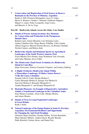| XV1<br>the control of the control of the | Contents |
|------------------------------------------|----------|
|                                          |          |

| 7  | <b>Conservation and Registration of Seed Sources in Reserve</b><br>Beatriz I. Eibl, Florencia Montagnini, Lucas N. López,<br>Héctor F. Romero, Claudio J. Dummel, Guillermo Küppers,<br>Miguel A. López, Pedro Lavignolle, Jorge Cortes,<br>and Marcelo A. De La Vega                                                                                 |            |
|----|-------------------------------------------------------------------------------------------------------------------------------------------------------------------------------------------------------------------------------------------------------------------------------------------------------------------------------------------------------|------------|
|    | Part III Biodiversity Islands Across the Globe: Case Studies                                                                                                                                                                                                                                                                                          |            |
| 8  | <b>Islands of Forests Among Savannas: Key Elements</b><br>for Conservation and Production in the Paraguayan<br>Rafaela Laino, Karim Musalem, Luis Domingo Laino,<br>Andrea Caballero-Gini, Diego Bueno-Villafñae, Lidia Aranda,<br>Alberto Esquivel, Marcela Ferreira Riveros, Lía Romero Nardelli,<br>Nicolás Cantero, and Rebeca Irala              | 185        |
| 9  | <b>Biodiversity Islands and Dominant Species in Agricultural</b><br>Landscapes of the South Western Amazon, Perú<br>Zoyla Mirella Clavo Peralta, Jorge Washinton Vela Alvarado,<br>and Carlos Mariano Alvez-Valles                                                                                                                                    | <b>207</b> |
| 10 | The Monteverde Cloud Forest: Evolution of a Biodiversity<br>Quint Newcomer, Fabricio Camacho Céspedes, and Lindsay Stallcup                                                                                                                                                                                                                           | 237        |
| 11 | A Highly Productive Biodiversity Island Within<br>a Monoculture Landscape: El Hatico Nature Reserve<br>(Valle del Cauca, Colombia)<br>Zoraida Calle D, Carlos Hernán Molina C,<br>Carlos Hernando Molina D, Enrique José Molina D,<br>Juan José Molina E, Bernardo Murgueitio C,<br>Amalia Murgueitio C, and Enrique Murgueitio R                     | 279        |
| 12 | Hacienda Pinzacuá: An Example of Regenerative Agriculture<br><b>Amidst a Transformed Landscape in the Colombian Andes</b><br>Irene Montes-Londoño, Alicia Calle, Olimpo Montes,<br>and Arturo Montes                                                                                                                                                  | 305        |
| 13 | <b>Islands of Trees in Long-Fragmented Landscapes</b><br>in Great Britain<br>Keith J. Kirby                                                                                                                                                                                                                                                           | 337        |
| 14 | <b>Natural Landscape of the Pampa Region in Santa Fe Province,</b><br><b>Argentina: Environmental Resilience and Opportunity</b><br>for Changing the Agri-Food Paradigm<br>Libertario Hugo González, Germán Neffen, Victoria Benedetto,<br>Marta Sánchez Miñarro, Andrea García, Ricardo Biasatti,<br>Pablo Rimoldi, Cristian Alesio, and Daniel Paiz | 353        |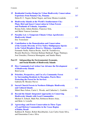| <br>XV11<br>the contract of the contract of |
|---------------------------------------------|
|                                             |

| 15        | <b>Residential Garden Design for Urban Biodiversity Conservation:</b><br><b>Experience from Panama City, Panama</b><br>Helen R. C. Negret, Rafael Negret, and Irene Montes-Londoño                                                                                                                                                                                    | 387 |
|-----------|-----------------------------------------------------------------------------------------------------------------------------------------------------------------------------------------------------------------------------------------------------------------------------------------------------------------------------------------------------------------------|-----|
| 16        | <b>Biodiversity Islands at the World's Southernmost City:</b><br><b>Plant, Bird and Insect Conservation in Urban Forests</b><br>Rosina Soler, Julieta Benítez, Francisco Sola,<br>and María Vanessa Lencinas                                                                                                                                                          | 419 |
| 17        | <b>Paradise Lot: A Temperate-Climate Urban Agroforestry</b><br>Eric Toensmeier                                                                                                                                                                                                                                                                                        | 439 |
| 18        | <b>Contribution to the Domestication and Conservation</b><br>of the Genetic Diversity of Two Native Multipurpose Species<br>in the Yabotí Biosphere Reserve, Misiones, Argentina<br>Fernando Niella, Patricia Rocha, Ariel M. Tuzinkievicz,<br>Ricardo Buchweis, Christian Bulman Hartkopf, Peggy Thalmayr,<br>José González, Florencia Montagnini, and Sandra Sharry | 461 |
|           | <b>Part IV</b><br>Safeguarding the Environmental, Economic,<br>and Social Benefits of Biodiversity Islands                                                                                                                                                                                                                                                            |     |
| 19        | <b>How Community-Led Action Can Advance the Development</b><br><b>Brett Levin</b>                                                                                                                                                                                                                                                                                     | 487 |
| 20        | Priorities, Perspectives, and Use of a Community Forest<br>by Surrounding Residents in Mayagüez, Puerto Rico:<br>Gabriela M. Morales-Nieves                                                                                                                                                                                                                           | 505 |
| 21        | <b>Sacred Church Forests in Northern Ethiopia: Biodiversity</b><br>Mabel Baez Schon, Carrie L. Woods, and Catherine L. Cardelús                                                                                                                                                                                                                                       | 531 |
| 22        | <b>Beyond the Island: Integrated Approaches to Conserving</b><br>Michael S. Esbach, Mahi Puri, Robinson Botero-Arias,<br>and Bette A. Loiselle                                                                                                                                                                                                                        | 551 |
| <b>23</b> | <b>Agroecology and Forest Conservation in Three Types</b><br>of Land Reform Communities in the Cacao Region                                                                                                                                                                                                                                                           |     |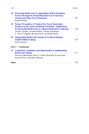| $\cdots$<br><b>XV111</b><br>the contract of the contract of the contract of | Contents |
|-----------------------------------------------------------------------------|----------|
|                                                                             |          |

| 24        | <b>Preserving Biodiversity in Appalachian Mixed Mesophytic</b><br><b>Forests Through the Permit-Based Harvest of American</b><br><b>Ginseng and Other Forest Botanicals</b><br>Karam Sheban                                                                                                                   | 601 |
|-----------|---------------------------------------------------------------------------------------------------------------------------------------------------------------------------------------------------------------------------------------------------------------------------------------------------------------|-----|
| $25\,$    | <b>Farmer Perceptions of Tropical Dry Forest Restoration</b><br><b>Practices on the Azuero Peninsula of Panama - Implications</b><br>for Increasing Biodiversity in a Human-Dominated Landscape<br>Vicente Vásquez, Cristina Barber, Yassine Dguidegue,<br>T. Trevor Caughlin, Roxana García, and Ruth Metzel | 629 |
| <b>26</b> | <b>Safeguarding Biodiversity Islands in Northern Ethiopia</b><br>Emily Sigman                                                                                                                                                                                                                                 |     |
|           | <b>Part V</b> Conclusions                                                                                                                                                                                                                                                                                     |     |
| 27        | <b>Conclusions: Challenges and Opportunities in Implementing</b><br>Florencia Montagnini, Ryan T. Smith, Benjamin Everett-Lane,<br>Sara del Fierro, and Dara Albrecht                                                                                                                                         |     |
|           |                                                                                                                                                                                                                                                                                                               | 705 |